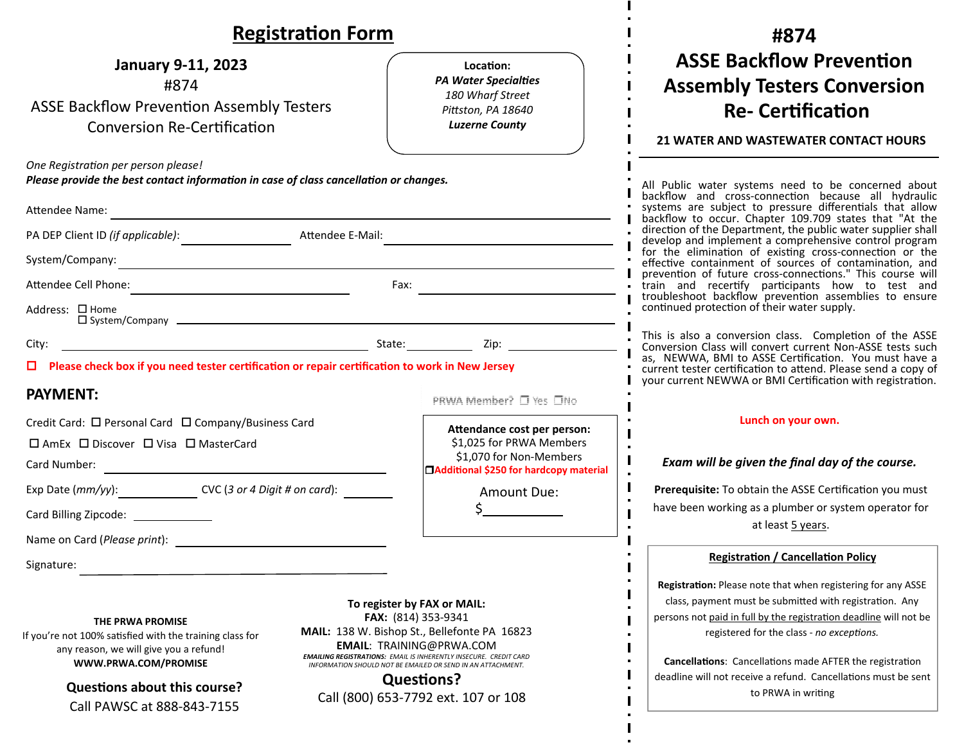| <b>Registration Form</b>                                                                                                                                                                                                                                                                                                                                                                                                                                                                                                                                            |                                                                                                                                      | #874                                                                                                                                                                                                                                                                                                                                                                                                |  |
|---------------------------------------------------------------------------------------------------------------------------------------------------------------------------------------------------------------------------------------------------------------------------------------------------------------------------------------------------------------------------------------------------------------------------------------------------------------------------------------------------------------------------------------------------------------------|--------------------------------------------------------------------------------------------------------------------------------------|-----------------------------------------------------------------------------------------------------------------------------------------------------------------------------------------------------------------------------------------------------------------------------------------------------------------------------------------------------------------------------------------------------|--|
| <b>January 9-11, 2023</b><br>#874<br><b>ASSE Backflow Prevention Assembly Testers</b><br><b>Conversion Re-Certification</b>                                                                                                                                                                                                                                                                                                                                                                                                                                         | Location:<br><b>PA Water Specialties</b><br>180 Wharf Street<br>Pittston, PA 18640<br><b>Luzerne County</b>                          | <b>ASSE Backflow Prevention</b><br><b>Assembly Testers Conversion</b><br><b>Re- Certification</b><br><b>21 WATER AND WASTEWATER CONTACT HOURS</b>                                                                                                                                                                                                                                                   |  |
| One Registration per person please!<br>Please provide the best contact information in case of class cancellation or changes.<br>Attendee Name:<br><u> 1989 - Johann Stoff, deutscher Stoffen und der Stoffen und der Stoffen und der Stoffen und der Stoffen und de</u>                                                                                                                                                                                                                                                                                             |                                                                                                                                      | All Public water systems need to be concerned about backflow and cross-connection because all hydraulic<br>systems are subject to pressure differentials that allow<br>backflow to occur. Chapter 109.709 states that "At the<br>direction of the Department, the public water supplier shall                                                                                                       |  |
| PA DEP Client ID (if applicable): Manual Attendee E-Mail:<br>Address: □ Home                                                                                                                                                                                                                                                                                                                                                                                                                                                                                        |                                                                                                                                      | develop and implement a comprehensive control program<br>for the elimination of existing cross-connection or the<br>effective containment of sources of contamination, and<br>prevention of future cross-connections." This course will<br>train and recertify participants how to test and<br>troubleshoot backflow prevention assemblies to ensure<br>continued protection of their water supply. |  |
| City:<br>$\Box$ Please check box if you need tester certification or repair certification to work in New Jersey<br><b>PAYMENT:</b>                                                                                                                                                                                                                                                                                                                                                                                                                                  | PRWA Member? □ Yes □No                                                                                                               | This is also a conversion class. Completion of the ASSE<br>Conversion Class will convert current Non-ASSE tests such<br>as, NEWWA, BMI to ASSE Certification. You must have a<br>current tester certification to attend. Please send a copy of<br>your current NEWWA or BMI Certification with registration.                                                                                        |  |
| Credit Card: □ Personal Card □ Company/Business Card<br>□ AmEx □ Discover □ Visa □ MasterCard<br>Card Number:                                                                                                                                                                                                                                                                                                                                                                                                                                                       | Attendance cost per person:<br>\$1,025 for PRWA Members<br>\$1,070 for Non-Members<br><b>CAdditional \$250 for hardcopy material</b> | Lunch on your own.<br>Exam will be given the final day of the course.                                                                                                                                                                                                                                                                                                                               |  |
| Exp Date (mm/yy): CVC (3 or 4 Digit # on card):<br>Card Billing Zipcode: _____________<br>Name on Card (Please print):                                                                                                                                                                                                                                                                                                                                                                                                                                              | Amount Due:                                                                                                                          | Prerequisite: To obtain the ASSE Certification you must<br>have been working as a plumber or system operator for<br>at least 5 years.                                                                                                                                                                                                                                                               |  |
| Signature:                                                                                                                                                                                                                                                                                                                                                                                                                                                                                                                                                          |                                                                                                                                      | <b>Registration / Cancellation Policy</b><br>Registration: Please note that when registering for any ASSE                                                                                                                                                                                                                                                                                           |  |
| To register by FAX or MAIL:<br>FAX: (814) 353-9341<br>THE PRWA PROMISE<br>MAIL: 138 W. Bishop St., Bellefonte PA 16823<br>If you're not 100% satisfied with the training class for<br><b>EMAIL: TRAINING@PRWA.COM</b><br>any reason, we will give you a refund!<br><b>EMAILING REGISTRATIONS: EMAIL IS INHERENTLY INSECURE. CREDIT CARD</b><br>WWW.PRWA.COM/PROMISE<br>INFORMATION SHOULD NOT BE EMAILED OR SEND IN AN ATTACHMENT.<br><b>Questions?</b><br><b>Questions about this course?</b><br>Call (800) 653-7792 ext. 107 or 108<br>Call PAWSC at 888-843-7155 |                                                                                                                                      | class, payment must be submitted with registration. Any<br>persons not paid in full by the registration deadline will not be<br>registered for the class - no exceptions.<br><b>Cancellations:</b> Cancellations made AFTER the registration<br>deadline will not receive a refund. Cancellations must be sent<br>to PRWA in writing                                                                |  |